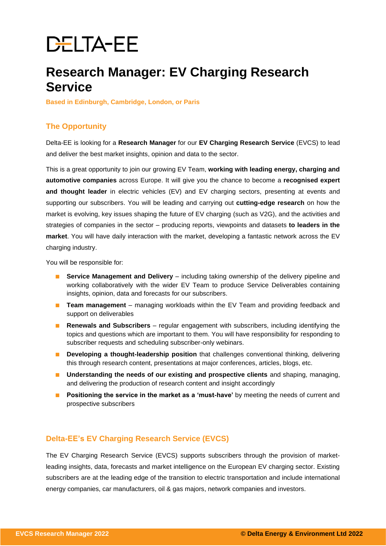# **DELTA-EE**

# **Research Manager: EV Charging Research Service**

**Based in Edinburgh, Cambridge, London, or Paris**

# **The Opportunity**

Delta-EE is looking for a **Research Manager** for our **EV Charging Research Service** (EVCS) to lead and deliver the best market insights, opinion and data to the sector.

This is a great opportunity to join our growing EV Team, **working with leading energy, charging and automotive companies** across Europe. It will give you the chance to become a **recognised expert and thought leader** in electric vehicles (EV) and EV charging sectors, presenting at events and supporting our subscribers. You will be leading and carrying out **cutting-edge research** on how the market is evolving, key issues shaping the future of EV charging (such as V2G), and the activities and strategies of companies in the sector – producing reports, viewpoints and datasets **to leaders in the market**. You will have daily interaction with the market, developing a fantastic network across the EV charging industry.

You will be responsible for:

- **Service Management and Delivery** including taking ownership of the delivery pipeline and working collaboratively with the wider EV Team to produce Service Deliverables containing insights, opinion, data and forecasts for our subscribers.
- **Team management** managing workloads within the EV Team and providing feedback and support on deliverables
- **Renewals and Subscribers** regular engagement with subscribers, including identifying the topics and questions which are important to them. You will have responsibility for responding to subscriber requests and scheduling subscriber-only webinars.
- **Developing a thought-leadership position** that challenges conventional thinking, delivering this through research content, presentations at major conferences, articles, blogs, etc.
- **Understanding the needs of our existing and prospective clients** and shaping, managing, and delivering the production of research content and insight accordingly
- **Positioning the service in the market as a 'must-have'** by meeting the needs of current and prospective subscribers

# **Delta-EE's EV Charging Research Service (EVCS)**

The EV Charging Research Service (EVCS) supports subscribers through the provision of marketleading insights, data, forecasts and market intelligence on the European EV charging sector. Existing subscribers are at the leading edge of the transition to electric transportation and include international energy companies, car manufacturers, oil & gas majors, network companies and investors.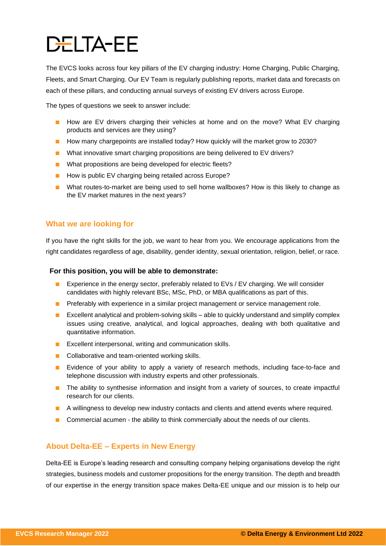# **DELTA-EE**

The EVCS looks across four key pillars of the EV charging industry: Home Charging, Public Charging, Fleets, and Smart Charging. Our EV Team is regularly publishing reports, market data and forecasts on each of these pillars, and conducting annual surveys of existing EV drivers across Europe.

The types of questions we seek to answer include:

- How are EV drivers charging their vehicles at home and on the move? What EV charging products and services are they using?
- How many chargepoints are installed today? How quickly will the market grow to 2030?
- What innovative smart charging propositions are being delivered to EV drivers?
- What propositions are being developed for electric fleets?
- How is public EV charging being retailed across Europe?
- What routes-to-market are being used to sell home wallboxes? How is this likely to change as the EV market matures in the next years?

# **What we are looking for**

If you have the right skills for the job, we want to hear from you. We encourage applications from the right candidates regardless of age, disability, gender identity, sexual orientation, religion, belief, or race.

#### **For this position, you will be able to demonstrate:**

- Experience in the energy sector, preferably related to EVs / EV charging. We will consider candidates with highly relevant BSc, MSc, PhD, or MBA qualifications as part of this.
- Preferably with experience in a similar project management or service management role.
- Excellent analytical and problem-solving skills able to quickly understand and simplify complex issues using creative, analytical, and logical approaches, dealing with both qualitative and quantitative information.
- Excellent interpersonal, writing and communication skills.
- Collaborative and team-oriented working skills.
- Evidence of your ability to apply a variety of research methods, including face-to-face and telephone discussion with industry experts and other professionals.
- The ability to synthesise information and insight from a variety of sources, to create impactful research for our clients.
- A willingness to develop new industry contacts and clients and attend events where required.
- Commercial acumen the ability to think commercially about the needs of our clients.

# **About Delta-EE – Experts in New Energy**

Delta-EE is Europe's leading research and consulting company helping organisations develop the right strategies, business models and customer propositions for the energy transition. The depth and breadth of our expertise in the energy transition space makes Delta-EE unique and our mission is to help our